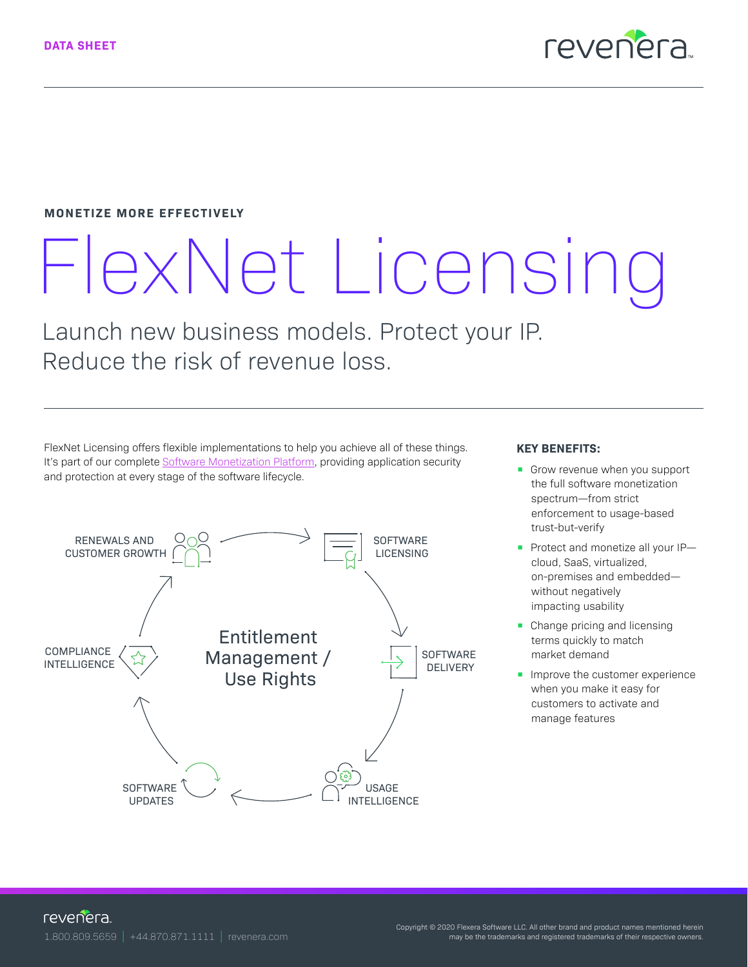

#### **MONETIZE MORE EFFECTIVELY**

# FlexNet Licensing

Launch new business models. Protect your IP. Reduce the risk of revenue loss.

FlexNet Licensing offers flexible implementations to help you achieve all of these things. It's part of our complete [Software Monetization Platform](https://www.revenera.com/products/software-monetization), providing application security and protection at every stage of the software lifecycle.



#### **KEY BENEFITS:**

- Grow revenue when you support the full software monetization spectrum—from strict enforcement to usage-based trust-but-verify
- Protect and monetize all your IP cloud, SaaS, virtualized, on-premises and embedded without negatively impacting usability
- Change pricing and licensing terms quickly to match market demand
- **Improve the customer experience** when you make it easy for customers to activate and manage features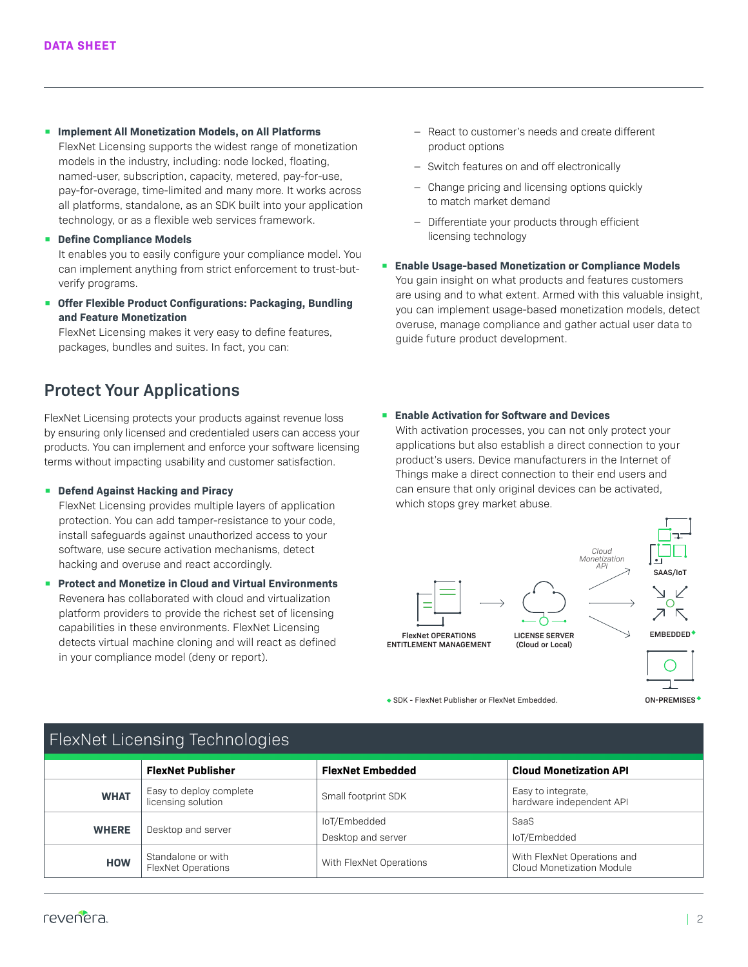- **Implement All Monetization Models, on All Platforms**  FlexNet Licensing supports the widest range of monetization models in the industry, including: node locked, floating, named-user, subscription, capacity, metered, pay-for-use, pay-for-overage, time-limited and many more. It works across all platforms, standalone, as an SDK built into your application technology, or as a flexible web services framework.
- **Define Compliance Models**

It enables you to easily configure your compliance model. You can implement anything from strict enforcement to trust-butverify programs.

**• Offer Flexible Product Configurations: Packaging, Bundling and Feature Monetization**

FlexNet Licensing makes it very easy to define features, packages, bundles and suites. In fact, you can:

## **Protect Your Applications**

FlexNet Licensing protects your products against revenue loss by ensuring only licensed and credentialed users can access your products. You can implement and enforce your software licensing terms without impacting usability and customer satisfaction.

#### **• Defend Against Hacking and Piracy**

FlexNet Licensing provides multiple layers of application protection. You can add tamper-resistance to your code, install safeguards against unauthorized access to your software, use secure activation mechanisms, detect hacking and overuse and react accordingly.

**• Protect and Monetize in Cloud and Virtual Environments** Revenera has collaborated with cloud and virtualization platform providers to provide the richest set of licensing capabilities in these environments. FlexNet Licensing detects virtual machine cloning and will react as defined in your compliance model (deny or report).

- ‒ React to customer's needs and create different product options
- Switch features on and off electronically
- Change pricing and licensing options quickly to match market demand
- ‒ Differentiate your products through efficient licensing technology
- **Enable Usage-based Monetization or Compliance Models** You gain insight on what products and features customers are using and to what extent. Armed with this valuable insight, you can implement usage-based monetization models, detect overuse, manage compliance and gather actual user data to guide future product development.

#### **• Enable Activation for Software and Devices**

With activation processes, you can not only protect your applications but also establish a direct connection to your product's users. Device manufacturers in the Internet of Things make a direct connection to their end users and can ensure that only original devices can be activated, which stops grey market abuse.



SDK - FlexNet Publisher or FlexNet Embedded.

| FlexNet Licensing Technologies |                                                 |                                    |                                                          |
|--------------------------------|-------------------------------------------------|------------------------------------|----------------------------------------------------------|
|                                | <b>FlexNet Publisher</b>                        | <b>FlexNet Embedded</b>            | <b>Cloud Monetization API</b>                            |
| <b>WHAT</b>                    | Easy to deploy complete<br>licensing solution   | Small footprint SDK                | Easy to integrate,<br>hardware independent API           |
| <b>WHERE</b>                   | Desktop and server                              | loT/Embedded<br>Desktop and server | SaaS<br>loT/Embedded                                     |
| <b>HOW</b>                     | Standalone or with<br><b>FlexNet Operations</b> | With FlexNet Operations            | With FlexNet Operations and<br>Cloud Monetization Module |

## FlexNet Licensing Technologies

**ON-PREMISES**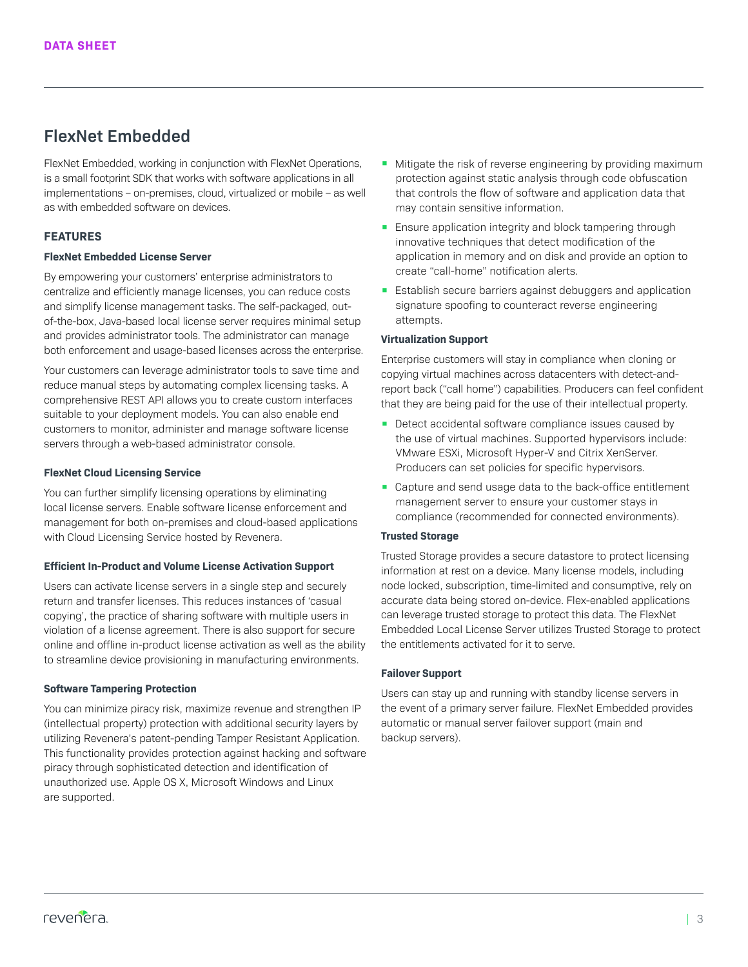## **FlexNet Embedded**

FlexNet Embedded, working in conjunction with FlexNet Operations, is a small footprint SDK that works with software applications in all implementations – on-premises, cloud, virtualized or mobile – as well as with embedded software on devices.

### **FEATURES**

#### **FlexNet Embedded License Server**

By empowering your customers' enterprise administrators to centralize and efficiently manage licenses, you can reduce costs and simplify license management tasks. The self-packaged, outof-the-box, Java-based local license server requires minimal setup and provides administrator tools. The administrator can manage both enforcement and usage-based licenses across the enterprise.

Your customers can leverage administrator tools to save time and reduce manual steps by automating complex licensing tasks. A comprehensive REST API allows you to create custom interfaces suitable to your deployment models. You can also enable end customers to monitor, administer and manage software license servers through a web-based administrator console.

#### **FlexNet Cloud Licensing Service**

You can further simplify licensing operations by eliminating local license servers. Enable software license enforcement and management for both on-premises and cloud-based applications with Cloud Licensing Service hosted by Revenera.

#### **Efficient In-Product and Volume License Activation Support**

Users can activate license servers in a single step and securely return and transfer licenses. This reduces instances of 'casual copying', the practice of sharing software with multiple users in violation of a license agreement. There is also support for secure online and offline in-product license activation as well as the ability to streamline device provisioning in manufacturing environments.

#### **Software Tampering Protection**

You can minimize piracy risk, maximize revenue and strengthen IP (intellectual property) protection with additional security layers by utilizing Revenera's patent-pending Tamper Resistant Application. This functionality provides protection against hacking and software piracy through sophisticated detection and identification of unauthorized use. Apple OS X, Microsoft Windows and Linux are supported.

- Mitigate the risk of reverse engineering by providing maximum protection against static analysis through code obfuscation that controls the flow of software and application data that may contain sensitive information.
- Ensure application integrity and block tampering through innovative techniques that detect modification of the application in memory and on disk and provide an option to create "call-home" notification alerts.
- Establish secure barriers against debuggers and application signature spoofing to counteract reverse engineering attempts.

#### **Virtualization Support**

Enterprise customers will stay in compliance when cloning or copying virtual machines across datacenters with detect-andreport back ("call home") capabilities. Producers can feel confident that they are being paid for the use of their intellectual property.

- Detect accidental software compliance issues caused by the use of virtual machines. Supported hypervisors include: VMware ESXi, Microsoft Hyper-V and Citrix XenServer. Producers can set policies for specific hypervisors.
- Capture and send usage data to the back-office entitlement management server to ensure your customer stays in compliance (recommended for connected environments).

#### **Trusted Storage**

Trusted Storage provides a secure datastore to protect licensing information at rest on a device. Many license models, including node locked, subscription, time-limited and consumptive, rely on accurate data being stored on-device. Flex-enabled applications can leverage trusted storage to protect this data. The FlexNet Embedded Local License Server utilizes Trusted Storage to protect the entitlements activated for it to serve.

#### **Failover Support**

Users can stay up and running with standby license servers in the event of a primary server failure. FlexNet Embedded provides automatic or manual server failover support (main and backup servers).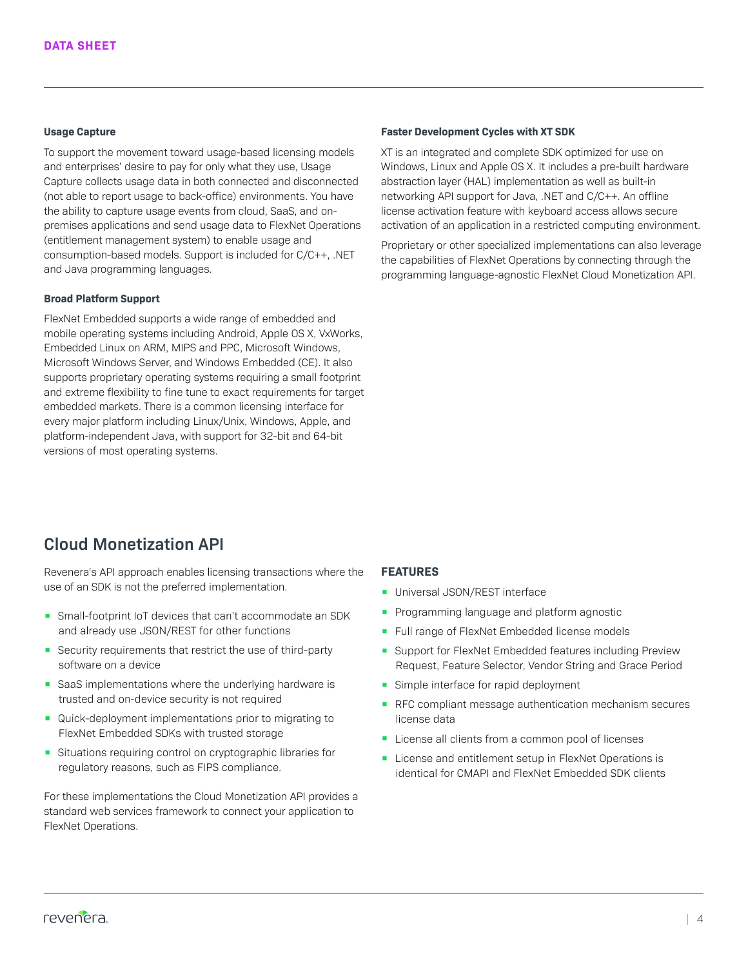#### **Usage Capture**

To support the movement toward usage-based licensing models and enterprises' desire to pay for only what they use, Usage Capture collects usage data in both connected and disconnected (not able to report usage to back-office) environments. You have the ability to capture usage events from cloud, SaaS, and onpremises applications and send usage data to FlexNet Operations (entitlement management system) to enable usage and consumption-based models. Support is included for C/C++, .NET and Java programming languages.

#### **Broad Platform Support**

FlexNet Embedded supports a wide range of embedded and mobile operating systems including Android, Apple OS X, VxWorks, Embedded Linux on ARM, MIPS and PPC, Microsoft Windows, Microsoft Windows Server, and Windows Embedded (CE). It also supports proprietary operating systems requiring a small footprint and extreme flexibility to fine tune to exact requirements for target embedded markets. There is a common licensing interface for every major platform including Linux/Unix, Windows, Apple, and platform-independent Java, with support for 32-bit and 64-bit versions of most operating systems.

#### **Faster Development Cycles with XT SDK**

XT is an integrated and complete SDK optimized for use on Windows, Linux and Apple OS X. It includes a pre-built hardware abstraction layer (HAL) implementation as well as built-in networking API support for Java, .NET and C/C++. An offline license activation feature with keyboard access allows secure activation of an application in a restricted computing environment.

Proprietary or other specialized implementations can also leverage the capabilities of FlexNet Operations by connecting through the programming language-agnostic FlexNet Cloud Monetization API.

## **Cloud Monetization API**

Revenera's API approach enables licensing transactions where the use of an SDK is not the preferred implementation.

- Small-footprint IoT devices that can't accommodate an SDK and already use JSON/REST for other functions
- Security requirements that restrict the use of third-party software on a device
- SaaS implementations where the underlying hardware is trusted and on-device security is not required
- Quick-deployment implementations prior to migrating to FlexNet Embedded SDKs with trusted storage
- Situations requiring control on cryptographic libraries for regulatory reasons, such as FIPS compliance.

For these implementations the Cloud Monetization API provides a standard web services framework to connect your application to FlexNet Operations.

#### **FEATURES**

- Universal JSON/REST interface
- Programming language and platform agnostic
- Full range of FlexNet Embedded license models
- Support for FlexNet Embedded features including Preview Request, Feature Selector, Vendor String and Grace Period
- Simple interface for rapid deployment
- RFC compliant message authentication mechanism secures license data
- License all clients from a common pool of licenses
- License and entitlement setup in FlexNet Operations is identical for CMAPI and FlexNet Embedded SDK clients